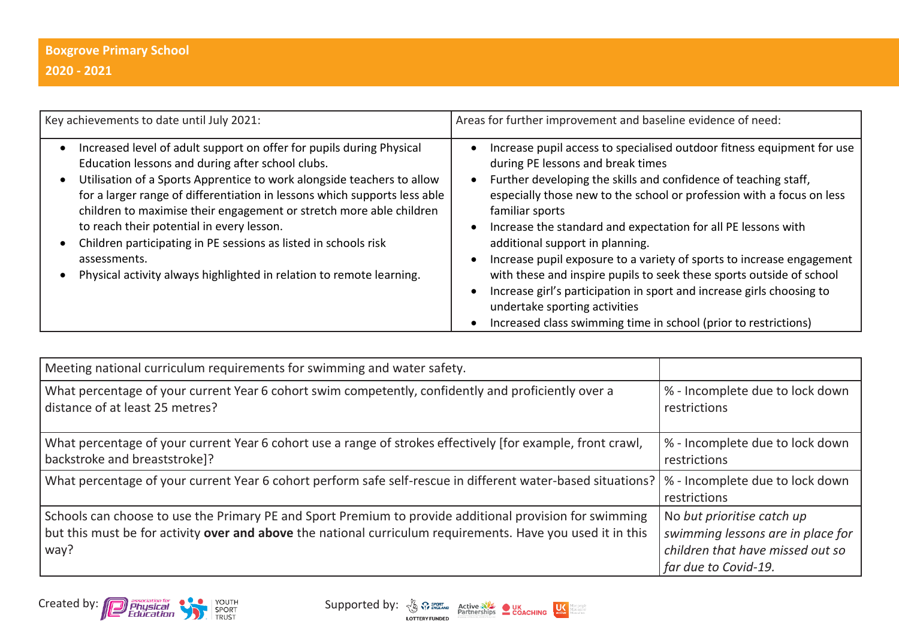| Key achievements to date until July 2021:                                                                                                                                                                                                                                                                                                                                                                                                                                                                                                                      | Areas for further improvement and baseline evidence of need:                                                                                                                                                                                                                                                                                                                                                                                                                                                                                                                                                                                                                                                 |
|----------------------------------------------------------------------------------------------------------------------------------------------------------------------------------------------------------------------------------------------------------------------------------------------------------------------------------------------------------------------------------------------------------------------------------------------------------------------------------------------------------------------------------------------------------------|--------------------------------------------------------------------------------------------------------------------------------------------------------------------------------------------------------------------------------------------------------------------------------------------------------------------------------------------------------------------------------------------------------------------------------------------------------------------------------------------------------------------------------------------------------------------------------------------------------------------------------------------------------------------------------------------------------------|
| Increased level of adult support on offer for pupils during Physical<br>Education lessons and during after school clubs.<br>Utilisation of a Sports Apprentice to work alongside teachers to allow<br>for a larger range of differentiation in lessons which supports less able<br>children to maximise their engagement or stretch more able children<br>to reach their potential in every lesson.<br>Children participating in PE sessions as listed in schools risk<br>assessments.<br>Physical activity always highlighted in relation to remote learning. | Increase pupil access to specialised outdoor fitness equipment for use<br>during PE lessons and break times<br>Further developing the skills and confidence of teaching staff,<br>especially those new to the school or profession with a focus on less<br>familiar sports<br>Increase the standard and expectation for all PE lessons with<br>additional support in planning.<br>Increase pupil exposure to a variety of sports to increase engagement<br>with these and inspire pupils to seek these sports outside of school<br>Increase girl's participation in sport and increase girls choosing to<br>undertake sporting activities<br>Increased class swimming time in school (prior to restrictions) |

| Meeting national curriculum requirements for swimming and water safety.                                                                                                                                                        |                                                                                                                             |
|--------------------------------------------------------------------------------------------------------------------------------------------------------------------------------------------------------------------------------|-----------------------------------------------------------------------------------------------------------------------------|
| What percentage of your current Year 6 cohort swim competently, confidently and proficiently over a<br>distance of at least 25 metres?                                                                                         | % - Incomplete due to lock down<br>restrictions                                                                             |
| What percentage of your current Year 6 cohort use a range of strokes effectively [for example, front crawl,<br>backstroke and breaststroke]?                                                                                   | % - Incomplete due to lock down<br>restrictions                                                                             |
| What percentage of your current Year 6 cohort perform safe self-rescue in different water-based situations?                                                                                                                    | % - Incomplete due to lock down<br>restrictions                                                                             |
| Schools can choose to use the Primary PE and Sport Premium to provide additional provision for swimming<br>but this must be for activity over and above the national curriculum requirements. Have you used it in this<br>way? | No but prioritise catch up<br>swimming lessons are in place for<br>children that have missed out so<br>far due to Covid-19. |

Created by: Physical Physical Physical Created by:  $\frac{N}{\sqrt{2}}$   $\frac{N}{\sqrt{2}}$  Supported by:  $\frac{N}{\sqrt{2}}$   $\frac{N}{\sqrt{2}}$  Active  $\frac{N}{\sqrt{2}}$  COACHING  $\frac{N}{\sqrt{2}}$ 

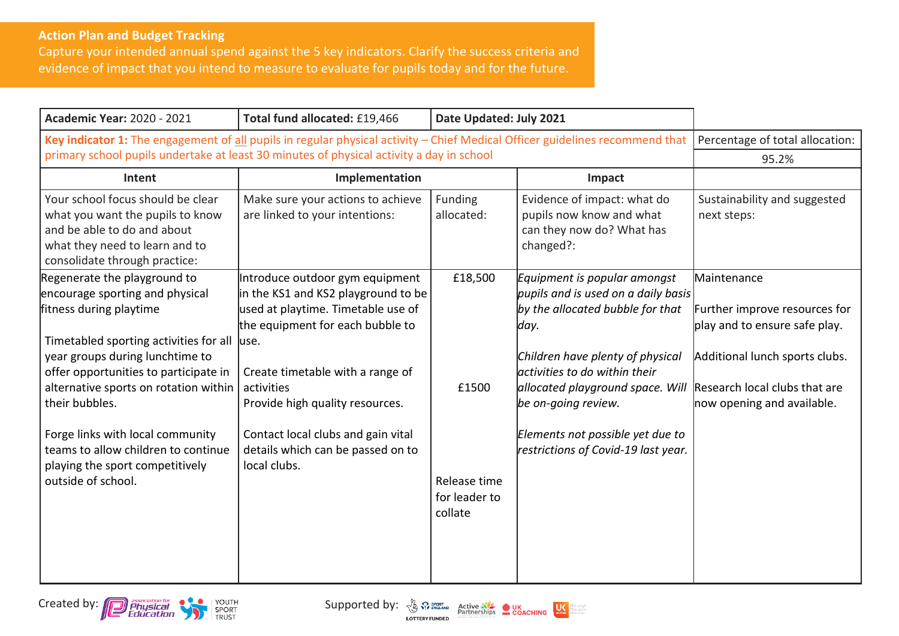## **Action Plan and Budget Tracking**

Capture your intended annual spend against the 5 key indicators. Clarify the success criteria and evidence of impact that you intend to measure to evaluate for pupils today and for the future.

| <b>Academic Year: 2020 - 2021</b>                                                                                                                                                                                                                                                                                                                                                                               | Total fund allocated: £19,466                                                                                                                                                                                                                                                                                                             | Date Updated: July 2021                                      |                                                                                                                                                                                                                                                                                                                            |                                                                                                                                                                                |
|-----------------------------------------------------------------------------------------------------------------------------------------------------------------------------------------------------------------------------------------------------------------------------------------------------------------------------------------------------------------------------------------------------------------|-------------------------------------------------------------------------------------------------------------------------------------------------------------------------------------------------------------------------------------------------------------------------------------------------------------------------------------------|--------------------------------------------------------------|----------------------------------------------------------------------------------------------------------------------------------------------------------------------------------------------------------------------------------------------------------------------------------------------------------------------------|--------------------------------------------------------------------------------------------------------------------------------------------------------------------------------|
| Key indicator 1: The engagement of all pupils in regular physical activity - Chief Medical Officer guidelines recommend that                                                                                                                                                                                                                                                                                    |                                                                                                                                                                                                                                                                                                                                           |                                                              | Percentage of total allocation:                                                                                                                                                                                                                                                                                            |                                                                                                                                                                                |
|                                                                                                                                                                                                                                                                                                                                                                                                                 | primary school pupils undertake at least 30 minutes of physical activity a day in school                                                                                                                                                                                                                                                  |                                                              |                                                                                                                                                                                                                                                                                                                            | 95.2%                                                                                                                                                                          |
| Intent                                                                                                                                                                                                                                                                                                                                                                                                          | Implementation                                                                                                                                                                                                                                                                                                                            |                                                              | Impact                                                                                                                                                                                                                                                                                                                     |                                                                                                                                                                                |
| Your school focus should be clear<br>what you want the pupils to know<br>and be able to do and about<br>what they need to learn and to<br>consolidate through practice:                                                                                                                                                                                                                                         | Make sure your actions to achieve<br>are linked to your intentions:                                                                                                                                                                                                                                                                       | Funding<br>allocated:                                        | Evidence of impact: what do<br>pupils now know and what<br>can they now do? What has<br>changed?:                                                                                                                                                                                                                          | Sustainability and suggested<br>next steps:                                                                                                                                    |
| Regenerate the playground to<br>encourage sporting and physical<br>fitness during playtime<br>Timetabled sporting activities for all<br>year groups during lunchtime to<br>offer opportunities to participate in<br>alternative sports on rotation within<br>their bubbles.<br>Forge links with local community<br>teams to allow children to continue<br>playing the sport competitively<br>outside of school. | Introduce outdoor gym equipment<br>in the KS1 and KS2 playground to be<br>used at playtime. Timetable use of<br>the equipment for each bubble to<br>luse.<br>Create timetable with a range of<br>activities<br>Provide high quality resources.<br>Contact local clubs and gain vital<br>details which can be passed on to<br>local clubs. | £18,500<br>£1500<br>Release time<br>for leader to<br>collate | Equipment is popular amongst<br>pupils and is used on a daily basis<br>by the allocated bubble for that<br>day.<br>Children have plenty of physical<br>activities to do within their<br>allocated playground space. Will<br>be on-going review.<br>Elements not possible yet due to<br>restrictions of Covid-19 last year. | Maintenance<br>Further improve resources for<br>play and to ensure safe play.<br>Additional lunch sports clubs.<br>Research local clubs that are<br>now opening and available. |

Created by: **Contract of the Contract of Supported by:**  $\frac{N}{2}$   $\frac{S_{\text{EVALU}}}{P_{\text{EVALU}}P_{\text{EVALU}}P_{\text{EVALU}}P_{\text{EVALU}}P_{\text{EVALU}}P_{\text{EVALU}}P_{\text{EVALU}}P_{\text{EVALU}}P_{\text{EVALU}}P_{\text{EVALU}}P_{\text{EVALU}}P_{\text{EVALU}}P_{\text{EVALU}}P_{\text{EVALU}}P_{\text{EVALU}}P_{\text{EVAL$ 

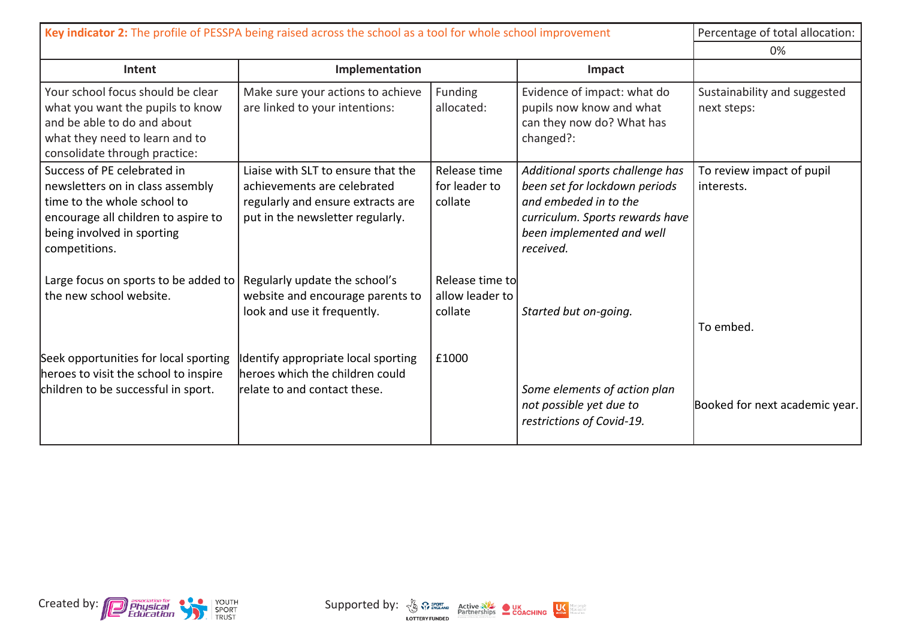| Key indicator 2: The profile of PESSPA being raised across the school as a tool for whole school improvement                                                                         |                                                                                                                                            |                                               |                                                                                                                                                                        | Percentage of total allocation:             |
|--------------------------------------------------------------------------------------------------------------------------------------------------------------------------------------|--------------------------------------------------------------------------------------------------------------------------------------------|-----------------------------------------------|------------------------------------------------------------------------------------------------------------------------------------------------------------------------|---------------------------------------------|
|                                                                                                                                                                                      |                                                                                                                                            |                                               |                                                                                                                                                                        | 0%                                          |
| Intent                                                                                                                                                                               | Implementation                                                                                                                             |                                               | Impact                                                                                                                                                                 |                                             |
| Your school focus should be clear<br>what you want the pupils to know<br>and be able to do and about<br>what they need to learn and to<br>consolidate through practice:              | Make sure your actions to achieve<br>are linked to your intentions:                                                                        | Funding<br>allocated:                         | Evidence of impact: what do<br>pupils now know and what<br>can they now do? What has<br>changed?:                                                                      | Sustainability and suggested<br>next steps: |
| Success of PE celebrated in<br>newsletters on in class assembly<br>time to the whole school to<br>encourage all children to aspire to<br>being involved in sporting<br>competitions. | Liaise with SLT to ensure that the<br>achievements are celebrated<br>regularly and ensure extracts are<br>put in the newsletter regularly. | Release time<br>for leader to<br>collate      | Additional sports challenge has<br>been set for lockdown periods<br>and embeded in to the<br>curriculum. Sports rewards have<br>been implemented and well<br>received. | To review impact of pupil<br>interests.     |
| Large focus on sports to be added to<br>the new school website.                                                                                                                      | Regularly update the school's<br>website and encourage parents to<br>look and use it frequently.                                           | Release time to<br>allow leader to<br>collate | Started but on-going.                                                                                                                                                  | To embed.                                   |
| Seek opportunities for local sporting<br>heroes to visit the school to inspire<br>children to be successful in sport.                                                                | Identify appropriate local sporting<br>heroes which the children could<br>relate to and contact these.                                     | £1000                                         | Some elements of action plan<br>not possible yet due to<br>restrictions of Covid-19.                                                                                   | Booked for next academic year.              |

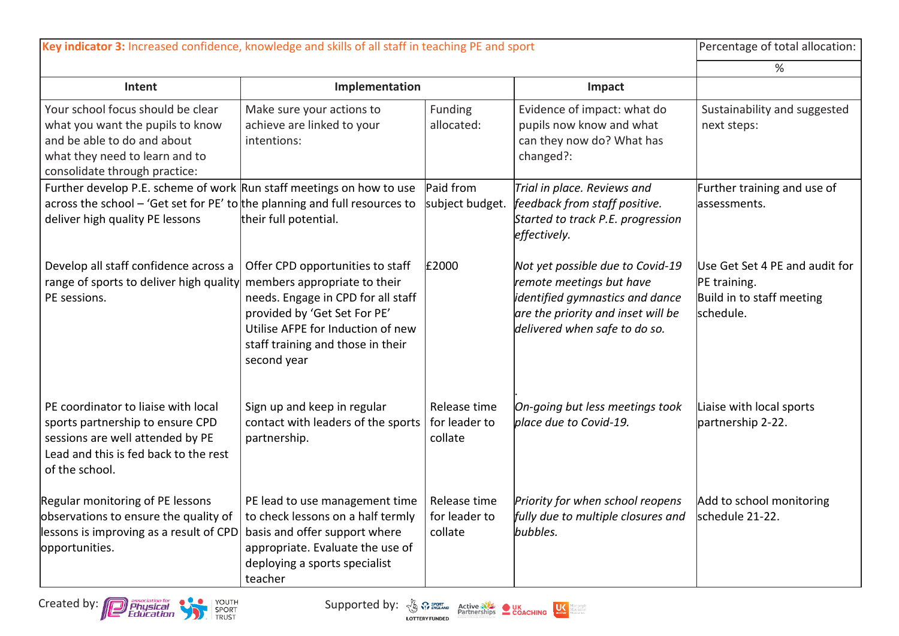| Key indicator 3: Increased confidence, knowledge and skills of all staff in teaching PE and sport                                                                                     |                                                                                                                                                                                                                                 |                                          |                                                                                                                                                                        | Percentage of total allocation:                                                          |
|---------------------------------------------------------------------------------------------------------------------------------------------------------------------------------------|---------------------------------------------------------------------------------------------------------------------------------------------------------------------------------------------------------------------------------|------------------------------------------|------------------------------------------------------------------------------------------------------------------------------------------------------------------------|------------------------------------------------------------------------------------------|
|                                                                                                                                                                                       |                                                                                                                                                                                                                                 |                                          |                                                                                                                                                                        | ℅                                                                                        |
| Intent                                                                                                                                                                                | Implementation                                                                                                                                                                                                                  |                                          | Impact                                                                                                                                                                 |                                                                                          |
| Your school focus should be clear<br>what you want the pupils to know<br>and be able to do and about<br>what they need to learn and to<br>consolidate through practice:               | Make sure your actions to<br>achieve are linked to your<br>intentions:                                                                                                                                                          | Funding<br>allocated:                    | Evidence of impact: what do<br>pupils now know and what<br>can they now do? What has<br>changed?:                                                                      | Sustainability and suggested<br>next steps:                                              |
| Further develop P.E. scheme of work Run staff meetings on how to use<br>across the school – 'Get set for PE' to the planning and full resources to<br>deliver high quality PE lessons | their full potential.                                                                                                                                                                                                           | Paid from<br>subject budget.             | Trial in place. Reviews and<br>feedback from staff positive.<br>Started to track P.E. progression<br>effectively.                                                      | Further training and use of<br>lassessments.                                             |
| Develop all staff confidence across a<br>range of sports to deliver high quality<br>PE sessions.                                                                                      | Offer CPD opportunities to staff<br>members appropriate to their<br>needs. Engage in CPD for all staff<br>provided by 'Get Set For PE'<br>Utilise AFPE for Induction of new<br>staff training and those in their<br>second year | £2000                                    | Not yet possible due to Covid-19<br>remote meetings but have<br>identified gymnastics and dance<br>are the priority and inset will be<br>delivered when safe to do so. | Use Get Set 4 PE and audit for<br>PE training.<br>Build in to staff meeting<br>schedule. |
| PE coordinator to liaise with local<br>sports partnership to ensure CPD<br>sessions are well attended by PE<br>Lead and this is fed back to the rest<br>of the school.                | Sign up and keep in regular<br>contact with leaders of the sports<br>partnership.                                                                                                                                               | Release time<br>for leader to<br>collate | On-going but less meetings took<br>place due to Covid-19.                                                                                                              | Liaise with local sports<br>partnership 2-22.                                            |
| Regular monitoring of PE lessons<br>observations to ensure the quality of<br>lessons is improving as a result of CPD basis and offer support where<br>opportunities.                  | PE lead to use management time<br>to check lessons on a half termly<br>appropriate. Evaluate the use of<br>deploying a sports specialist<br>teacher                                                                             | Release time<br>for leader to<br>collate | Priority for when school reopens<br>fully due to multiple closures and<br>bubbles.                                                                                     | Add to school monitoring<br>schedule 21-22.                                              |



Abrepeople<br>Abreactive<br>Abreaften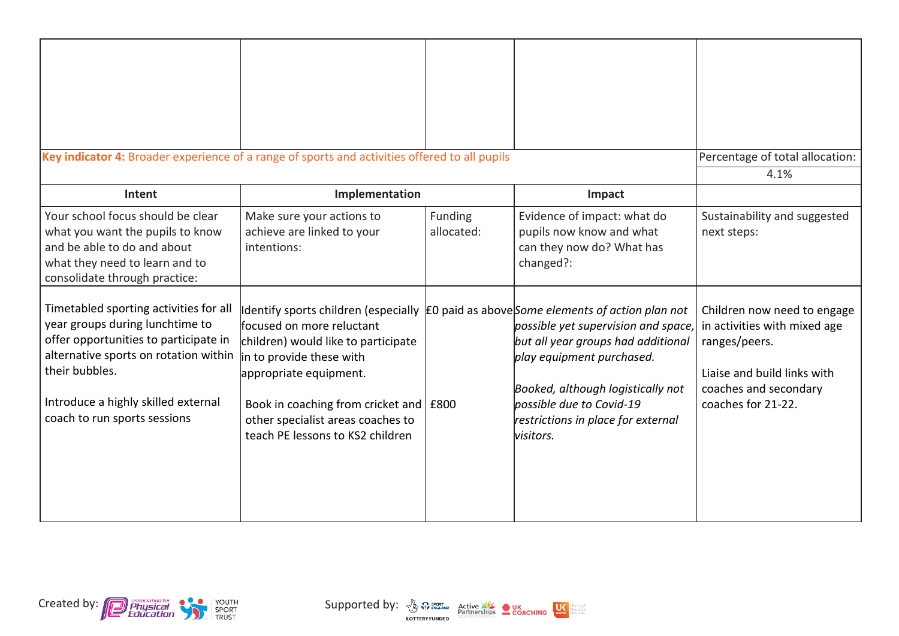| Key indicator 4: Broader experience of a range of sports and activities offered to all pupils                                                                                                                                                        |                                                                                                                                                                                                                                                                                                                                      |                       |                                                                                                                                                                                                                            | Percentage of total allocation:                                                                                                                            |
|------------------------------------------------------------------------------------------------------------------------------------------------------------------------------------------------------------------------------------------------------|--------------------------------------------------------------------------------------------------------------------------------------------------------------------------------------------------------------------------------------------------------------------------------------------------------------------------------------|-----------------------|----------------------------------------------------------------------------------------------------------------------------------------------------------------------------------------------------------------------------|------------------------------------------------------------------------------------------------------------------------------------------------------------|
| Intent                                                                                                                                                                                                                                               | Implementation                                                                                                                                                                                                                                                                                                                       |                       | Impact                                                                                                                                                                                                                     | 4.1%                                                                                                                                                       |
| Your school focus should be clear<br>what you want the pupils to know<br>and be able to do and about<br>what they need to learn and to<br>consolidate through practice:                                                                              | Make sure your actions to<br>achieve are linked to your<br>intentions:                                                                                                                                                                                                                                                               | Funding<br>allocated: | Evidence of impact: what do<br>pupils now know and what<br>can they now do? What has<br>changed?:                                                                                                                          | Sustainability and suggested<br>next steps:                                                                                                                |
| Timetabled sporting activities for all<br>year groups during lunchtime to<br>offer opportunities to participate in<br>alternative sports on rotation within<br>their bubbles.<br>Introduce a highly skilled external<br>coach to run sports sessions | Identify sports children (especially E0 paid as aboveSome elements of action plan not<br>focused on more reluctant<br>children) would like to participate<br>in to provide these with<br>appropriate equipment.<br>Book in coaching from cricket and   £800<br>other specialist areas coaches to<br>teach PE lessons to KS2 children |                       | possible yet supervision and space,<br>but all year groups had additional<br>play equipment purchased.<br>Booked, although logistically not<br>possible due to Covid-19<br>restrictions in place for external<br>visitors. | Children now need to engage<br>in activities with mixed age<br>ranges/peers.<br>Liaise and build links with<br>coaches and secondary<br>coaches for 21-22. |